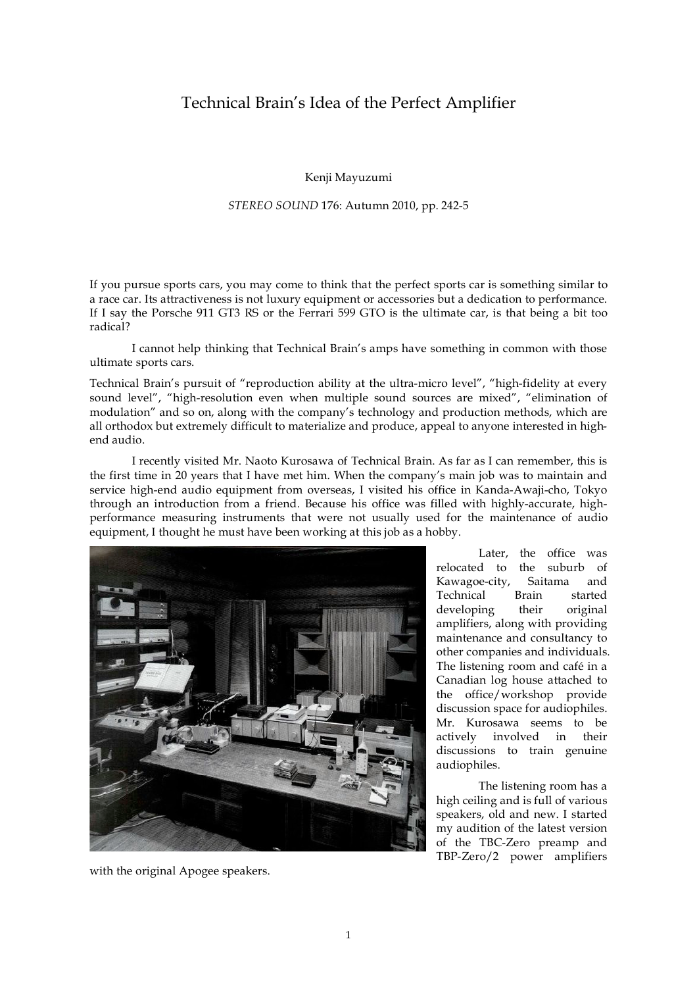## Technical Brain's Idea of the Perfect Amplifier

Kenji Mayuzumi

## *STEREO SOUND* 176: Autumn 2010, pp. 242-5

If you pursue sports cars, you may come to think that the perfect sports car is something similar to a race car. Its attractiveness is not luxury equipment or accessories but a dedication to performance. If I say the Porsche 911 GT3 RS or the Ferrari 599 GTO is the ultimate car, is that being a bit too radical?

I cannot help thinking that Technical Brain's amps have something in common with those ultimate sports cars.

Technical Brain's pursuit of "reproduction ability at the ultra-micro level", "high-fidelity at every sound level", "high-resolution even when multiple sound sources are mixed", "elimination of modulation" and so on, along with the company's technology and production methods, which are all orthodox but extremely difficult to materialize and produce, appeal to anyone interested in highend audio.

I recently visited Mr. Naoto Kurosawa of Technical Brain. As far as I can remember, this is the first time in 20 years that I have met him. When the company's main job was to maintain and service high-end audio equipment from overseas, I visited his office in Kanda-Awaji-cho, Tokyo through an introduction from a friend. Because his office was filled with highly-accurate, highperformance measuring instruments that were not usually used for the maintenance of audio equipment, I thought he must have been working at this job as a hobby.



with the original Apogee speakers.

Later, the office was relocated to the suburb of Kawagoe-city, Saitama and Technical Brain started developing their original amplifiers, along with providing maintenance and consultancy to other companies and individuals. The listening room and café in a Canadian log house attached to the office/workshop provide discussion space for audiophiles. Mr. Kurosawa seems to be actively involved in their discussions to train genuine audiophiles.

The listening room has a high ceiling and is full of various speakers, old and new. I started my audition of the latest version of the TBC-Zero preamp and TBP-Zero/2 power amplifiers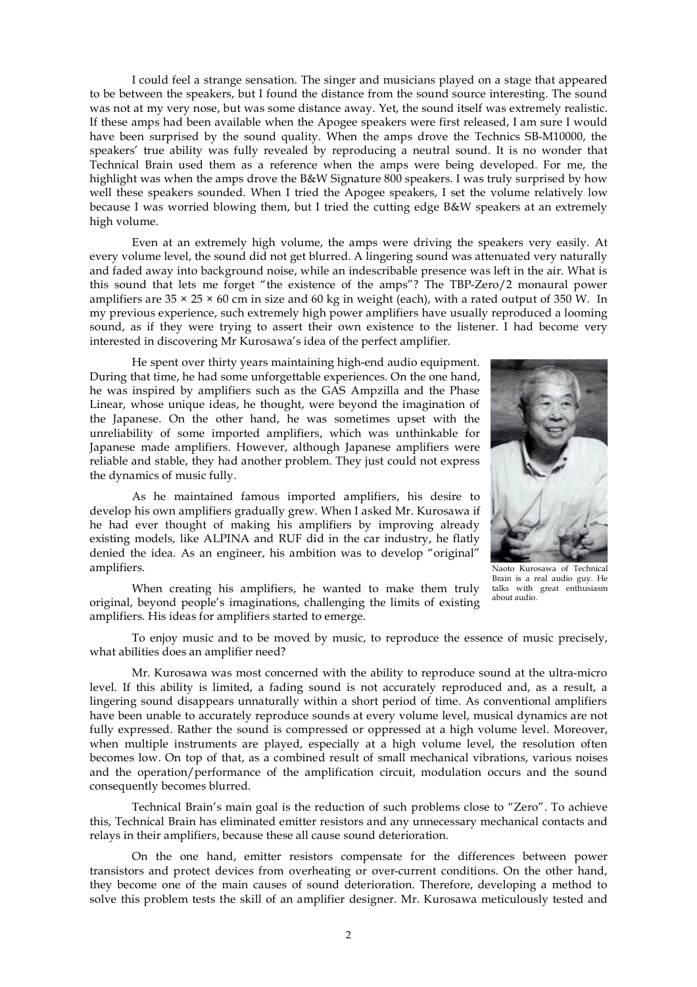I could feel a strange sensation. The singer and musicians played on a stage that appeared to be between the speakers, but I found the distance from the sound source interesting. The sound was not at my very nose, but was some distance away. Yet, the sound itself was extremely realistic. If these amps had been available when the Apogee speakers were first released, I am sure I would have been surprised by the sound quality. When the amps drove the Technics SB-M10000, the speakers' true ability was fully revealed by reproducing a neutral sound. It is no wonder that Technical Brain used them as a reference when the amps were being developed. For me, the highlight was when the amps drove the B&W Signature 800 speakers. I was truly surprised by how well these speakers sounded. When I tried the Apogee speakers, I set the volume relatively low because I was worried blowing them, but I tried the cutting edge B&W speakers at an extremely high volume.

Even at an extremely high volume, the amps were driving the speakers very easily. At every volume level, the sound did not get blurred. A lingering sound was attenuated very naturally and faded away into background noise, while an indescribable presence was left in the air. What is this sound that lets me forget "the existence of the amps"? The TBP-Zero/2 monaural power amplifiers are  $35 \times 25 \times 60$  cm in size and 60 kg in weight (each), with a rated output of 350 W. In my previous experience, such extremely high power amplifiers have usually reproduced a looming sound, as if they were trying to assert their own existence to the listener. I had become very interested in discovering Mr Kurosawa's idea of the perfect amplifier.

He spent over thirty years maintaining high-end audio equipment. During that time, he had some unforgettable experiences. On the one hand, he was inspired by amplifiers such as the GAS Ampzilla and the Phase Linear, whose unique ideas, he thought, were beyond the imagination of the Japanese. On the other hand, he was sometimes upset with the unreliability of some imported amplifiers, which was unthinkable for Japanese made amplifiers. However, although Japanese amplifiers were reliable and stable, they had another problem. They just could not express the dynamics of music fully.

As he maintained famous imported amplifiers, his desire to develop his own amplifiers gradually grew. When I asked Mr. Kurosawa if he had ever thought of making his amplifiers by improving already existing models, like ALPINA and RUF did in the car industry, he flatly denied the idea. As an engineer, his ambition was to develop "original" amplifiers.

When creating his amplifiers, he wanted to make them truly original, beyond people's imaginations, challenging the limits of existing amplifiers. His ideas for amplifiers started to emerge.



Naoto Kurosawa of Technical Brain is a real audio guy. He talks with great enthusiasm about audio.

To enjoy music and to be moved by music, to reproduce the essence of music precisely, what abilities does an amplifier need?

Mr. Kurosawa was most concerned with the ability to reproduce sound at the ultra-micro level. If this ability is limited, a fading sound is not accurately reproduced and, as a result, a lingering sound disappears unnaturally within a short period of time. As conventional amplifiers have been unable to accurately reproduce sounds at every volume level, musical dynamics are not fully expressed. Rather the sound is compressed or oppressed at a high volume level. Moreover, when multiple instruments are played, especially at a high volume level, the resolution often becomes low. On top of that, as a combined result of small mechanical vibrations, various noises and the operation/performance of the amplification circuit, modulation occurs and the sound consequently becomes blurred.

Technical Brain's main goal is the reduction of such problems close to "Zero". To achieve this, Technical Brain has eliminated emitter resistors and any unnecessary mechanical contacts and relays in their amplifiers, because these all cause sound deterioration.

On the one hand, emitter resistors compensate for the differences between power transistors and protect devices from overheating or over-current conditions. On the other hand, they become one of the main causes of sound deterioration. Therefore, developing a method to solve this problem tests the skill of an amplifier designer. Mr. Kurosawa meticulously tested and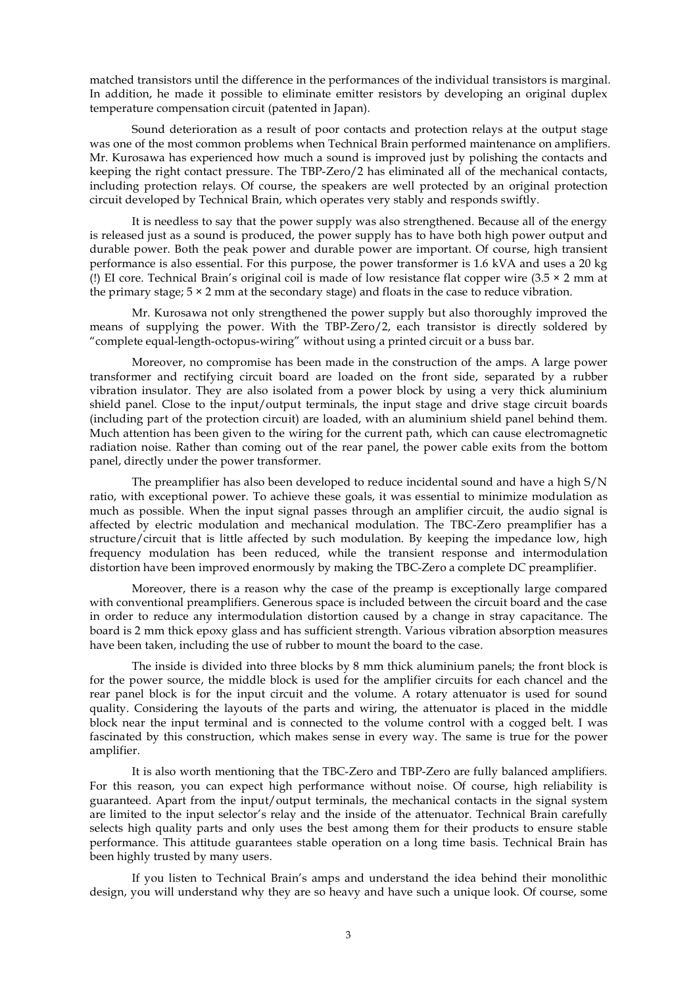matched transistors until the difference in the performances of the individual transistors is marginal. In addition, he made it possible to eliminate emitter resistors by developing an original duplex temperature compensation circuit (patented in Japan).

Sound deterioration as a result of poor contacts and protection relays at the output stage was one of the most common problems when Technical Brain performed maintenance on amplifiers. Mr. Kurosawa has experienced how much a sound is improved just by polishing the contacts and keeping the right contact pressure. The TBP-Zero/2 has eliminated all of the mechanical contacts, including protection relays. Of course, the speakers are well protected by an original protection circuit developed by Technical Brain, which operates very stably and responds swiftly.

It is needless to say that the power supply was also strengthened. Because all of the energy is released just as a sound is produced, the power supply has to have both high power output and durable power. Both the peak power and durable power are important. Of course, high transient performance is also essential. For this purpose, the power transformer is 1.6 kVA and uses a 20 kg (!) EI core. Technical Brain's original coil is made of low resistance flat copper wire  $(3.5 \times 2 \text{ mm at } 1)$ the primary stage;  $5 \times 2$  mm at the secondary stage) and floats in the case to reduce vibration.

Mr. Kurosawa not only strengthened the power supply but also thoroughly improved the means of supplying the power. With the TBP-Zero/2, each transistor is directly soldered by "complete equal-length-octopus-wiring" without using a printed circuit or a buss bar.

Moreover, no compromise has been made in the construction of the amps. A large power transformer and rectifying circuit board are loaded on the front side, separated by a rubber vibration insulator. They are also isolated from a power block by using a very thick aluminium shield panel. Close to the input/output terminals, the input stage and drive stage circuit boards (including part of the protection circuit) are loaded, with an aluminium shield panel behind them. Much attention has been given to the wiring for the current path, which can cause electromagnetic radiation noise. Rather than coming out of the rear panel, the power cable exits from the bottom panel, directly under the power transformer.

The preamplifier has also been developed to reduce incidental sound and have a high S/N ratio, with exceptional power. To achieve these goals, it was essential to minimize modulation as much as possible. When the input signal passes through an amplifier circuit, the audio signal is affected by electric modulation and mechanical modulation. The TBC-Zero preamplifier has a structure/circuit that is little affected by such modulation. By keeping the impedance low, high frequency modulation has been reduced, while the transient response and intermodulation distortion have been improved enormously by making the TBC-Zero a complete DC preamplifier.

Moreover, there is a reason why the case of the preamp is exceptionally large compared with conventional preamplifiers. Generous space is included between the circuit board and the case in order to reduce any intermodulation distortion caused by a change in stray capacitance. The board is 2 mm thick epoxy glass and has sufficient strength. Various vibration absorption measures have been taken, including the use of rubber to mount the board to the case.

The inside is divided into three blocks by 8 mm thick aluminium panels; the front block is for the power source, the middle block is used for the amplifier circuits for each chancel and the rear panel block is for the input circuit and the volume. A rotary attenuator is used for sound quality. Considering the layouts of the parts and wiring, the attenuator is placed in the middle block near the input terminal and is connected to the volume control with a cogged belt. I was fascinated by this construction, which makes sense in every way. The same is true for the power amplifier.

It is also worth mentioning that the TBC-Zero and TBP-Zero are fully balanced amplifiers. For this reason, you can expect high performance without noise. Of course, high reliability is guaranteed. Apart from the input/output terminals, the mechanical contacts in the signal system are limited to the input selector's relay and the inside of the attenuator. Technical Brain carefully selects high quality parts and only uses the best among them for their products to ensure stable performance. This attitude guarantees stable operation on a long time basis. Technical Brain has been highly trusted by many users.

If you listen to Technical Brain's amps and understand the idea behind their monolithic design, you will understand why they are so heavy and have such a unique look. Of course, some